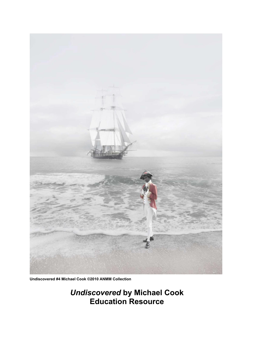

 **Undiscovered #4 Michael Cook ©2010 ANMM Collection**

*Undiscovered* **by Michael Cook Education Resource**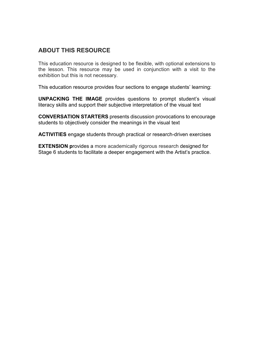## **ABOUT THIS RESOURCE**

This education resource is designed to be flexible, with optional extensions to the lesson. This resource may be used in conjunction with a visit to the exhibition but this is not necessary.

This education resource provides four sections to engage students' learning:

**UNPACKING THE IMAGE** provides questions to prompt student's visual literacy skills and support their subjective interpretation of the visual text

**CONVERSATION STARTERS** presents discussion provocations to encourage students to objectively consider the meanings in the visual text

**ACTIVITIES** engage students through practical or research-driven exercises

**EXTENSION p**rovides a more academically rigorous research designed for Stage 6 students to facilitate a deeper engagement with the Artist's practice.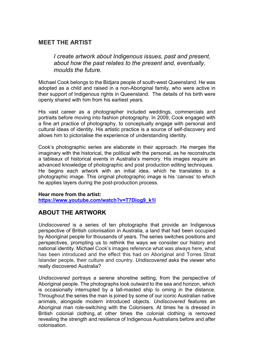### **MEET THE ARTIST**

*I create artwork about Indigenous issues, past and present, about how the past relates to the present and, eventually, moulds the future.* 

Michael Cook belongs to the Bidjara people of south-west Queensland. He was adopted as a child and raised in a non-Aboriginal family, who were active in their support of Indigenous rights in Queensland. The details of his birth were openly shared with him from his earliest years.

His vast career as a photographer included weddings, commercials and portraits before moving into fashion photography. In 2009, Cook engaged with a fine art practice of photography, to conceptually engage with personal and cultural ideas of identity. His artistic practice is a source of self-discovery and allows him to pictorialise the experience of understanding identity.

Cook's photographic series are elaborate in their approach. He merges the imaginary with the historical, the political with the personal, as he reconstructs a tableaux of historical events in Australia's memory. His images require an advanced knowledge of photographic and post production editing techniques. He begins each artwork with an initial idea, which he translates to a photographic image. This original photographic image is his 'canvas' to which he applies layers during the post-production process.

# **Hear more from the artist:**

**[https://www.youtube.com/watch?v=T7Diog9\\_k1I](https://www.youtube.com/watch?v=T7Diog9_k1I)**

### **ABOUT THE ARTWORK**

*Undiscovered* is a series of ten photographs that provide an Indigenous perspective of British colonisation in Australia, a land that had been occupied by Aboriginal people for thousands of years. The series switches positions and perspectives, prompting us to rethink the ways we consider our history and national identity. Michael Cook's images reference what was always here, what has been introduced and the effect this had on Aboriginal and Torres Strait Islander people, their culture and country. *Undiscovered* asks the viewer who really discovered Australia?

*Undiscovered* portrays a serene shoreline setting, from the perspective of Aboriginal people. The photographs look outward to the sea and horizon, which is occasionally interrupted by a tall-masted ship lo oming in the distance. Throughout the series the man is joined by some of our iconic Australian native animals, alongside modern introduced objects. *Undiscovered* features an Aboriginal man role-switching with the Colonisers. At times he is dressed in British colonial clothing, at other times the colonial clothing is removed revealing the strength and resilience of Indigenous Australians before and after colonisation.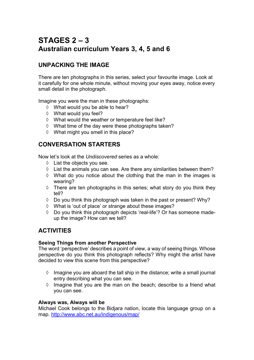# **STAGES 2 – 3 Australian curriculum Years 3, 4, 5 and 6**

# **UNPACKING THE IMAGE**

There are ten photographs in this series, select your favourite image. Look at it carefully for one whole minute, without moving your eyes away, notice every small detail in the photograph.

Imagine you were the man in these photographs:

- What would you be able to hear?
- What would you feel?
- $\Diamond$  What would the weather or temperature feel like?
- $\Diamond$  What time of the day were these photographs taken?
- $\Diamond$  What might you smell in this place?

### **CONVERSATION STARTERS**

Now let's look at the *Undiscovered* series as a whole:

- $\Diamond$  List the objects you see.
- $\Diamond$  List the animals you can see. Are there any similarities between them?
- $\Diamond$  What do you notice about the clothing that the man in the images is wearing?
- $\Diamond$  There are ten photographs in this series; what story do you think they tell?
- $\lozenge$  Do you think this photograph was taken in the past or present? Why?
- What is 'out of place' or strange about these images?
- $\lozenge$  Do you think this photograph depicts 'real-life'? Or has someone madeup the image? How can we tell?

# **ACTIVITIES**

### **Seeing Things from another Perspective**

The word 'perspective' describes a point of view, a way of seeing things. Whose perspective do you think this photograph reflects? Why might the artist have decided to view this scene from this perspective?

- $\Diamond$  Imagine you are aboard the tall ship in the distance; write a small journal entry describing what you can see.
- $\Diamond$  Imagine that you are the man on the beach; describe to a friend what you can see.

### **Always was, Always will be**

Michael Cook belongs to the Bidjara nation, locate this language group on a map. <http://www.abc.net.au/indigenous/map/>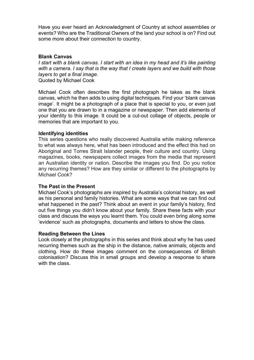Have you ever heard an Acknowledgment of Country at school assemblies or events? Who are the Traditional Owners of the land your school is on? Find out some more about their connection to country.

### **Blank Canvas**

*I start with a blank canvas. I start with an idea in my head and it's like painting with a camera. I say that is the way that I create layers and we build with those layers to get a final image.* Quoted by Michael Cook

Michael Cook often describes the first photograph he takes as the blank canvas, which he then adds to using digital techniques. Find your 'blank canvas image'. It might be a photograph of a place that is special to you, or even just one that you are drawn to in a magazine or newspaper. Then add elements of your identity to this image. It could be a cut-out collage of objects, people or memories that are important to you.

#### **Identifying identities**

This series questions who really discovered Australia while making reference to what was always here, what has been introduced and the effect this had on Aboriginal and Torres Strait Islander people, their culture and country. Using magazines, books, newspapers collect images from the media that represent an Australian identity or nation. Describe the images you find. Do you notice any recurring themes? How are they similar or different to the photographs by Michael Cook?

#### **The Past in the Present**

Michael Cook's photographs are inspired by Australia's colonial history, as well as his personal and family histories. What are some ways that we can find out what happened in the past? Think about an event in your family's history, find out five things you didn't know about your family. Share these facts with your class and discuss the ways you learnt them. You could even bring along some 'evidence' such as photographs, documents and letters to show the class.

#### **Reading Between the Lines**

Look closely at the photographs in this series and think about why he has used recurring themes such as the ship in the distance, native animals, objects and clothing. How do these images comment on the consequences of British colonisation? Discuss this in small groups and develop a response to share with the class.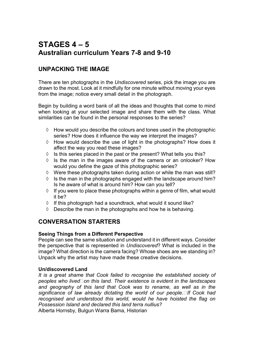# **STAGES 4 – 5 Australian curriculum Years 7-8 and 9-10**

# **UNPACKING THE IMAGE**

There are ten photographs in the *Undiscovered* series, pick the image you are drawn to the most. Look at it mindfully for one minute without moving your eyes from the image; notice every small detail in the photograph.

Begin by building a word bank of all the ideas and thoughts that come to mind when looking at your selected image and share them with the class. What similarities can be found in the personal responses to the series?

- $\Diamond$  How would you describe the colours and tones used in the photographic series? How does it influence the way we interpret the images?
- $\Diamond$  How would describe the use of light in the photographs? How does it affect the way you read these images?
- $\Diamond$  Is this series placed in the past or the present? What tells you this?
- $\Diamond$  Is the man in the images aware of the camera or an onlooker? How would you define the gaze of this photographic series?
- $\Diamond$  Were these photographs taken during action or while the man was still?
- $\Diamond$  Is the man in the photographs engaged with the landscape around him? Is he aware of what is around him? How can you tell?
- $\Diamond$  If you were to place these photographs within a genre of film, what would it be?
- $\Diamond$  If this photograph had a soundtrack, what would it sound like?
- $\Diamond$  Describe the man in the photographs and how he is behaving.

### **CONVERSATION STARTERS**

### **Seeing Things from a Different Perspective**

People can see the same situation and understand it in different ways. Consider the perspective that is represented in *Undiscovered*? What is included in the image? What direction is the camera facing? Whose shoes are we standing in? Unpack why the artist may have made these creative decisions.

### **Un/discovered Land**

*It is a great shame that Cook failed to recognise the established society of*  peoples who lived on this land. Their existence is evident in the landscapes *and geography of this land that Cook was to rename, as well as in the significance of law already dictating the world of our people.If Cook had recognised and understood this world, would he have hoisted the flag on Possession Island and declared this land terra nullius?*

Alberta Hornsby, Bulgun Warra Bama, Historian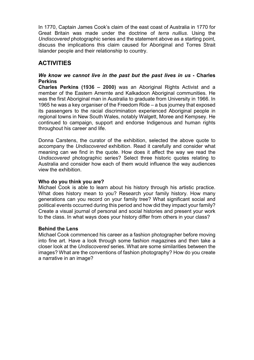In 1770, Captain James Cook's claim of the east coast of Australia in 1770 for Great Britain was made under the doctrine of *terra nullius*. Using the *Undiscovered* photographic series and the statement above as a starting point, discuss the implications this claim caused for Aboriginal and Torres Strait Islander people and their relationship to country.

# **ACTIVITIES**

### *We know we cannot live in the past but the past lives in us* **- Charles Perkins**

**Charles Perkins (1936 – 2000)** was an Aboriginal Rights Activist and a member of the Eastern Arrernte and Kalkadoon Aboriginal communities. He was the first Aboriginal man in Australia to graduate from University in 1966. In 1965 he was a key organiser of the Freedom Ride – a bus journey that exposed its passengers to the racial discrimination experienced Aboriginal people in regional towns in New South Wales, notably Walgett, Moree and Kempsey. He continued to campaign, support and endorse Indigenous and human rights throughout his career and life.

Donna Carstens, the curator of the exhibition, selected the above quote to accompany the *Undiscovered* exhibition. Read it carefully and consider what meaning can we find in the quote. How does it affect the way we read the *Undiscovered* photographic series? Select three historic quotes relating to Australia and consider how each of them would influence the way audiences view the exhibition.

### **Who do you think you are?**

Michael Cook is able to learn about his history through his artistic practice. What does history mean to you? Research your family history. How many generations can you record on your family tree? What significant social and political events occurred during this period and how did they impact your family? Create a visual journal of personal and social histories and present your work to the class. In what ways does your history differ from others in your class?

### **Behind the Lens**

Michael Cook commenced his career as a fashion photographer before moving into fine art. Have a look through some fashion magazines and then take a closer look at the *Undiscovered* series. What are some similarities between the images? What are the conventions of fashion photography? How do you create a narrative in an image?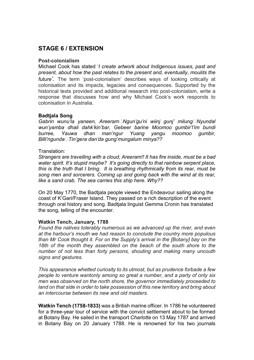### **STAGE 6 / EXTENSION**

#### **Post-colonialism**

Michael Cook has stated '*I create artwork about Indigenous issues, past and present, about how the past relates to the present and, eventually, moulds the future'.* The term 'post-colonialism' describes ways of looking critically at colonisation and its impacts, legacies and consequences. Supported by the historical texts provided and additional research into post-colonialism, write a response that discusses how and why Michael Cook's work responds to colonisation in Australia.

### **Badtjala Song**

Gabrin wunu'la yaneen, Areeram□Ngun'gu'ni wiinj gunj' milung□Nyundal *wun'yamba dhali dahk'kin'bar, Gebeer barine Moomoo gumbir'l'im bundi burree, Yauwa dhan man'ngur Yuang yangu moomoo gumbir, Billi'ngundaTin'gera dan'da gung'mungalum minya??* 

#### Translation:

*Strangers are travelling with a cloud, Areeram!! It has fire inside, must be a bad water spirit. It's stupid maybe? It's going directly to that rainbow serpent place, this is the truth that I bring. It is breathing rhythmically from its rear, must be song men and sorcerers. Coming up and going back with the wind at its rear, like a sand crab. The sea carries this ship here. Why??* 

On 20 May 1770, the Badtjala people viewed the Endeavour sailing along the coast of K'Gari/Fraser Island. They passed on a rich description of the event through oral history and song. Badtjala linguist Gemma Cronin has translated the song, telling of the encounter.

### **Watkin Tench, January, 1788**

*Found the natives tolerably numerous as we advanced up the river, and even at the harbour's mouth we had reason to conclude the country more populous than Mr Cook thought it. For on the Supply's arrival in the [Botany] bay on the 18th of the month they assembled on the beach of the south shore to the number of not less than forty persons, shouting and making many uncouth signs and gestures.*

*This appearance whetted curiosity to its utmost, but as prudence forbade a few people to venture wantonly among so great a number, and a party of only six men was observed on the north shore, the governor immediately proceeded to land on that side in order to take possession of this new territory and bring about an intercourse between its new and old masters.*

**Watkin Tench (1758-1833)** was a British marine officer. In 1786 he volunteered for a three-year tour of service with the convict settlement about to be formed at Botany Bay. He sailed in the transport *Charlotte* on 13 May 1787 and arrived in Botany Bay on 20 January 1788. He is renowned for his two journals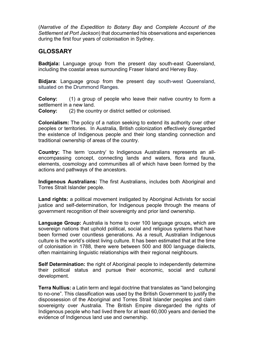(*Narrative of the Expedition to Botany Bay* and *Complete Account of the Settlement at Port Jackson*) that documented his observations and experiences during the first four years of colonisation in Sydney.

### **GLOSSARY**

**Badtjala:** Language group from the present day south-east Queensland, including the coastal areas surrounding Fraser Island and Hervey Bay.

**Bidjara**: Language group from the present day south-west Queensland, situated on the Drummond Ranges.

**Colony:** (1) a group of people who leave their native country to form a settlement in a new land.

**Colony:** (2) the country or district settled or colonised.

**Colonialism:** The policy of a nation seeking to extend its authority over other peoples or territories. In Australia, British colonization effectively disregarded the existence of Indigenous people and their long standing connection and traditional ownership of areas of the country.

**Country:** The term 'country' to Indigenous Australians represents an allencompassing concept, connecting lands and waters, flora and fauna, elements, cosmology and communities all of which have been formed by the actions and pathways of the ancestors.

**Indigenous Australians:** The first Australians, includes both Aboriginal and Torres Strait Islander people.

**Land rights:** a political movement instigated by Aboriginal Activists for social justice and self-determination, for Indigenous people through the means of government recognition of their sovereignty and prior land ownership.

**Language Group:** Australia is home to over 100 language groups, which are sovereign nations that uphold political, social and religious systems that have been formed over countless generations. As a result, Australian Indigenous culture is the world's oldest living culture. It has been estimated that at the time of colonisation in 1788, there were between 500 and 800 language dialects, often maintaining linguistic relationships with their regional neighbours.

**Self Determination:** the right of Aboriginal people to independently determine their political status and pursue their economic, social and cultural development.

**Terra Nullius:** a Latin term and legal doctrine that translates as "land belonging to no-one". This classification was used by the British Government to justify the dispossession of the Aboriginal and Torres Strait Islander peoples and claim sovereignty over Australia. The British Empire disregarded the rights of Indigenous people who had lived there for at least 60,000 years and denied the evidence of Indigenous land use and ownership.